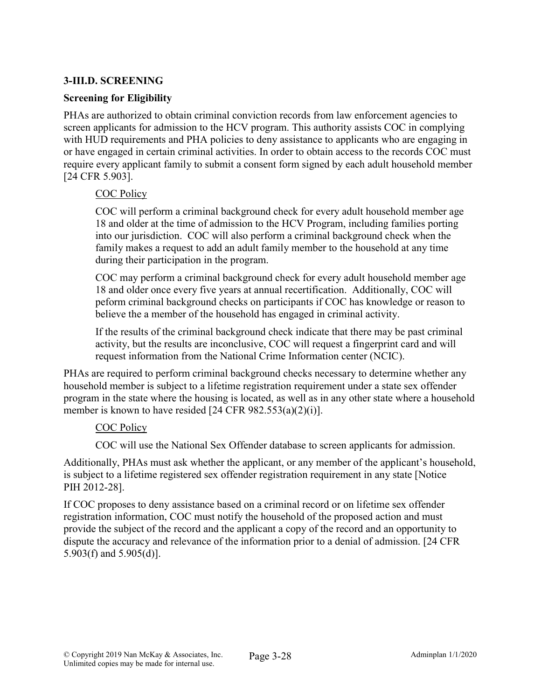## 3-III.D. SCREENING

#### Screening for Eligibility

PHAs are authorized to obtain criminal conviction records from law enforcement agencies to screen applicants for admission to the HCV program. This authority assists COC in complying with HUD requirements and PHA policies to deny assistance to applicants who are engaging in or have engaged in certain criminal activities. In order to obtain access to the records COC must require every applicant family to submit a consent form signed by each adult household member [24 CFR 5.903].

#### COC Policy

COC will perform a criminal background check for every adult household member age 18 and older at the time of admission to the HCV Program, including families porting into our jurisdiction. COC will also perform a criminal background check when the family makes a request to add an adult family member to the household at any time during their participation in the program.

COC may perform a criminal background check for every adult household member age 18 and older once every five years at annual recertification. Additionally, COC will peform criminal background checks on participants if COC has knowledge or reason to believe the a member of the household has engaged in criminal activity.

If the results of the criminal background check indicate that there may be past criminal activity, but the results are inconclusive, COC will request a fingerprint card and will request information from the National Crime Information center (NCIC).

PHAs are required to perform criminal background checks necessary to determine whether any household member is subject to a lifetime registration requirement under a state sex offender program in the state where the housing is located, as well as in any other state where a household member is known to have resided [24 CFR 982.553(a)(2)(i)].

### COC Policy

COC will use the National Sex Offender database to screen applicants for admission.

Additionally, PHAs must ask whether the applicant, or any member of the applicant's household, is subject to a lifetime registered sex offender registration requirement in any state [Notice PIH 2012-28].

If COC proposes to deny assistance based on a criminal record or on lifetime sex offender registration information, COC must notify the household of the proposed action and must provide the subject of the record and the applicant a copy of the record and an opportunity to dispute the accuracy and relevance of the information prior to a denial of admission. [24 CFR 5.903(f) and 5.905(d)].